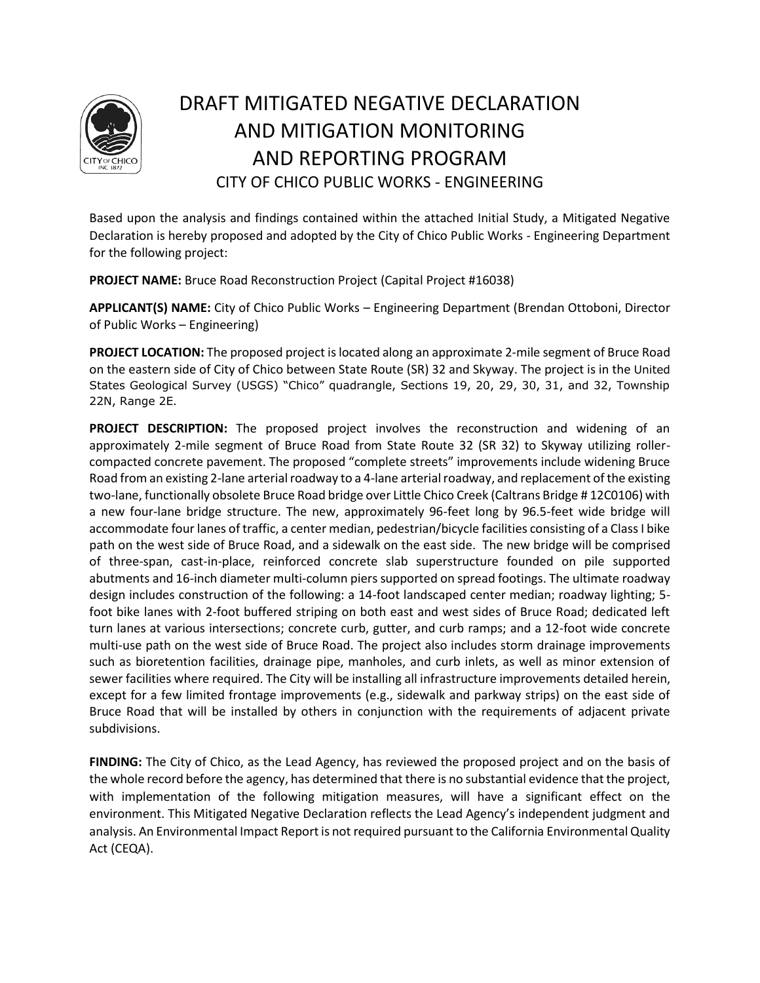

# DRAFT MITIGATED NEGATIVE DECLARATION AND MITIGATION MONITORING AND REPORTING PROGRAM CITY OF CHICO PUBLIC WORKS - ENGINEERING

Based upon the analysis and findings contained within the attached Initial Study, a Mitigated Negative Declaration is hereby proposed and adopted by the City of Chico Public Works - Engineering Department for the following project:

**PROJECT NAME:** Bruce Road Reconstruction Project (Capital Project #16038)

**APPLICANT(S) NAME:** City of Chico Public Works – Engineering Department (Brendan Ottoboni, Director of Public Works – Engineering)

**PROJECT LOCATION:** The proposed project is located along an approximate 2-mile segment of Bruce Road on the eastern side of City of Chico between State Route (SR) 32 and Skyway. The project is in the United States Geological Survey (USGS) "Chico" quadrangle, Sections 19, 20, 29, 30, 31, and 32, Township 22N, Range 2E.

**PROJECT DESCRIPTION:** The proposed project involves the reconstruction and widening of an approximately 2-mile segment of Bruce Road from State Route 32 (SR 32) to Skyway utilizing rollercompacted concrete pavement. The proposed "complete streets" improvements include widening Bruce Road from an existing 2-lane arterial roadway to a 4-lane arterial roadway, and replacement of the existing two-lane, functionally obsolete Bruce Road bridge over Little Chico Creek (Caltrans Bridge # 12C0106) with a new four-lane bridge structure. The new, approximately 96-feet long by 96.5-feet wide bridge will accommodate four lanes of traffic, a center median, pedestrian/bicycle facilities consisting of a Class I bike path on the west side of Bruce Road, and a sidewalk on the east side. The new bridge will be comprised of three-span, cast-in-place, reinforced concrete slab superstructure founded on pile supported abutments and 16-inch diameter multi-column piers supported on spread footings. The ultimate roadway design includes construction of the following: a 14-foot landscaped center median; roadway lighting; 5 foot bike lanes with 2-foot buffered striping on both east and west sides of Bruce Road; dedicated left turn lanes at various intersections; concrete curb, gutter, and curb ramps; and a 12-foot wide concrete multi-use path on the west side of Bruce Road. The project also includes storm drainage improvements such as bioretention facilities, drainage pipe, manholes, and curb inlets, as well as minor extension of sewer facilities where required. The City will be installing all infrastructure improvements detailed herein, except for a few limited frontage improvements (e.g., sidewalk and parkway strips) on the east side of Bruce Road that will be installed by others in conjunction with the requirements of adjacent private subdivisions.

**FINDING:** The City of Chico, as the Lead Agency, has reviewed the proposed project and on the basis of the whole record before the agency, has determined that there is no substantial evidence that the project, with implementation of the following mitigation measures, will have a significant effect on the environment. This Mitigated Negative Declaration reflects the Lead Agency's independent judgment and analysis. An Environmental Impact Report is not required pursuant to the California Environmental Quality Act (CEQA).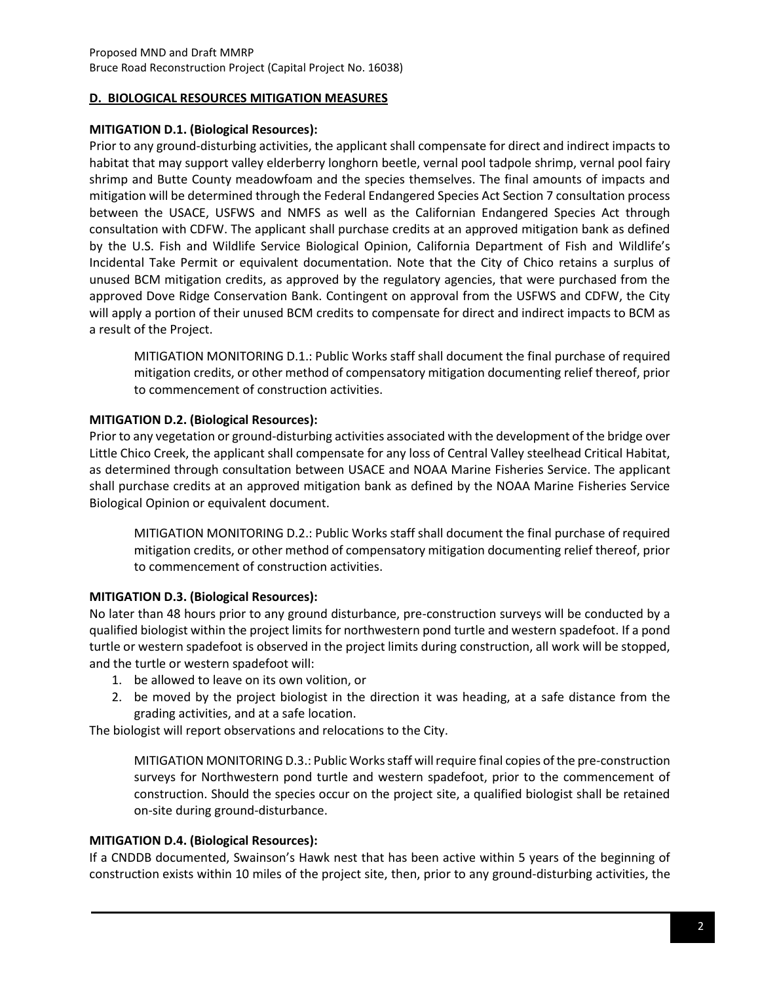#### **D. BIOLOGICAL RESOURCES MITIGATION MEASURES**

#### **MITIGATION D.1. (Biological Resources):**

Prior to any ground-disturbing activities, the applicant shall compensate for direct and indirect impacts to habitat that may support valley elderberry longhorn beetle, vernal pool tadpole shrimp, vernal pool fairy shrimp and Butte County meadowfoam and the species themselves. The final amounts of impacts and mitigation will be determined through the Federal Endangered Species Act Section 7 consultation process between the USACE, USFWS and NMFS as well as the Californian Endangered Species Act through consultation with CDFW. The applicant shall purchase credits at an approved mitigation bank as defined by the U.S. Fish and Wildlife Service Biological Opinion, California Department of Fish and Wildlife's Incidental Take Permit or equivalent documentation. Note that the City of Chico retains a surplus of unused BCM mitigation credits, as approved by the regulatory agencies, that were purchased from the approved Dove Ridge Conservation Bank. Contingent on approval from the USFWS and CDFW, the City will apply a portion of their unused BCM credits to compensate for direct and indirect impacts to BCM as a result of the Project.

MITIGATION MONITORING D.1.: Public Works staff shall document the final purchase of required mitigation credits, or other method of compensatory mitigation documenting relief thereof, prior to commencement of construction activities.

## **MITIGATION D.2. (Biological Resources):**

Prior to any vegetation or ground-disturbing activities associated with the development of the bridge over Little Chico Creek, the applicant shall compensate for any loss of Central Valley steelhead Critical Habitat, as determined through consultation between USACE and NOAA Marine Fisheries Service. The applicant shall purchase credits at an approved mitigation bank as defined by the NOAA Marine Fisheries Service Biological Opinion or equivalent document.

MITIGATION MONITORING D.2.: Public Works staff shall document the final purchase of required mitigation credits, or other method of compensatory mitigation documenting relief thereof, prior to commencement of construction activities.

## **MITIGATION D.3. (Biological Resources):**

No later than 48 hours prior to any ground disturbance, pre-construction surveys will be conducted by a qualified biologist within the project limits for northwestern pond turtle and western spadefoot. If a pond turtle or western spadefoot is observed in the project limits during construction, all work will be stopped, and the turtle or western spadefoot will:

- 1. be allowed to leave on its own volition, or
- 2. be moved by the project biologist in the direction it was heading, at a safe distance from the grading activities, and at a safe location.

The biologist will report observations and relocations to the City.

MITIGATION MONITORING D.3.: Public Works staff will require final copies of the pre-construction surveys for Northwestern pond turtle and western spadefoot, prior to the commencement of construction. Should the species occur on the project site, a qualified biologist shall be retained on-site during ground-disturbance.

#### **MITIGATION D.4. (Biological Resources):**

If a CNDDB documented, Swainson's Hawk nest that has been active within 5 years of the beginning of construction exists within 10 miles of the project site, then, prior to any ground-disturbing activities, the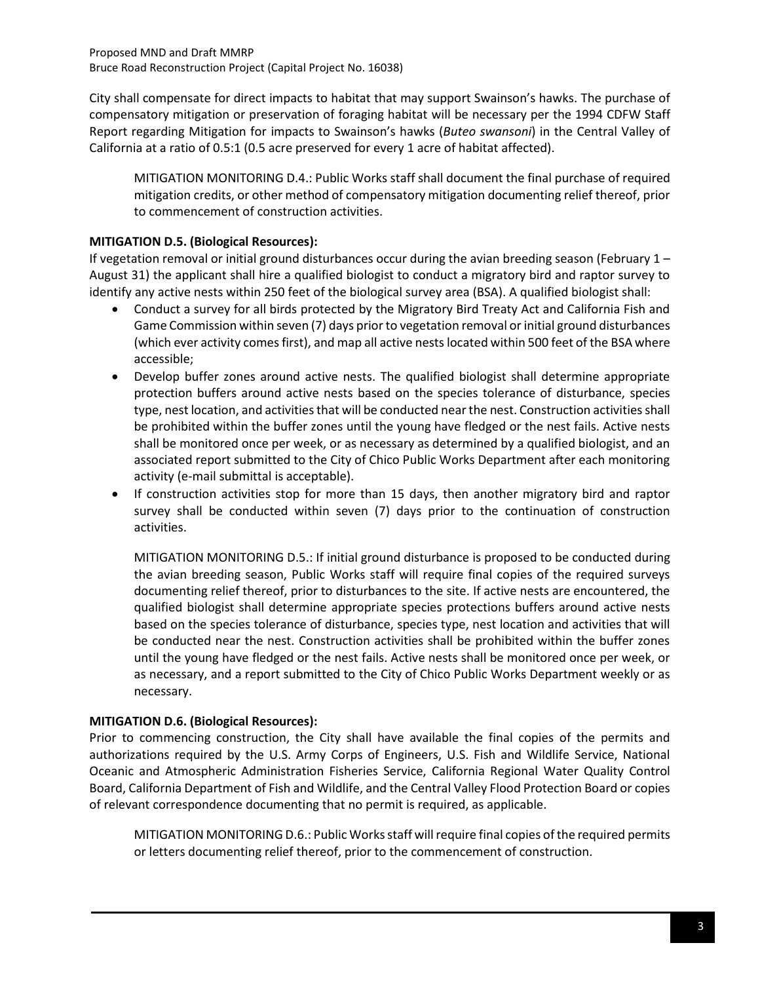City shall compensate for direct impacts to habitat that may support Swainson's hawks. The purchase of compensatory mitigation or preservation of foraging habitat will be necessary per the 1994 CDFW Staff Report regarding Mitigation for impacts to Swainson's hawks (*Buteo swansoni*) in the Central Valley of California at a ratio of 0.5:1 (0.5 acre preserved for every 1 acre of habitat affected).

MITIGATION MONITORING D.4.: Public Works staff shall document the final purchase of required mitigation credits, or other method of compensatory mitigation documenting relief thereof, prior to commencement of construction activities.

## **MITIGATION D.5. (Biological Resources):**

If vegetation removal or initial ground disturbances occur during the avian breeding season (February  $1 -$ August 31) the applicant shall hire a qualified biologist to conduct a migratory bird and raptor survey to identify any active nests within 250 feet of the biological survey area (BSA). A qualified biologist shall:

- Conduct a survey for all birds protected by the Migratory Bird Treaty Act and California Fish and Game Commission within seven (7) days prior to vegetation removal or initial ground disturbances (which ever activity comes first), and map all active nests located within 500 feet of the BSA where accessible;
- Develop buffer zones around active nests. The qualified biologist shall determine appropriate protection buffers around active nests based on the species tolerance of disturbance, species type, nest location, and activities that will be conducted near the nest. Construction activities shall be prohibited within the buffer zones until the young have fledged or the nest fails. Active nests shall be monitored once per week, or as necessary as determined by a qualified biologist, and an associated report submitted to the City of Chico Public Works Department after each monitoring activity (e-mail submittal is acceptable).
- If construction activities stop for more than 15 days, then another migratory bird and raptor survey shall be conducted within seven (7) days prior to the continuation of construction activities.

MITIGATION MONITORING D.5.: If initial ground disturbance is proposed to be conducted during the avian breeding season, Public Works staff will require final copies of the required surveys documenting relief thereof, prior to disturbances to the site. If active nests are encountered, the qualified biologist shall determine appropriate species protections buffers around active nests based on the species tolerance of disturbance, species type, nest location and activities that will be conducted near the nest. Construction activities shall be prohibited within the buffer zones until the young have fledged or the nest fails. Active nests shall be monitored once per week, or as necessary, and a report submitted to the City of Chico Public Works Department weekly or as necessary.

## **MITIGATION D.6. (Biological Resources):**

Prior to commencing construction, the City shall have available the final copies of the permits and authorizations required by the U.S. Army Corps of Engineers, U.S. Fish and Wildlife Service, National Oceanic and Atmospheric Administration Fisheries Service, California Regional Water Quality Control Board, California Department of Fish and Wildlife, and the Central Valley Flood Protection Board or copies of relevant correspondence documenting that no permit is required, as applicable.

MITIGATION MONITORING D.6.: Public Works staff will require final copies of the required permits or letters documenting relief thereof, prior to the commencement of construction.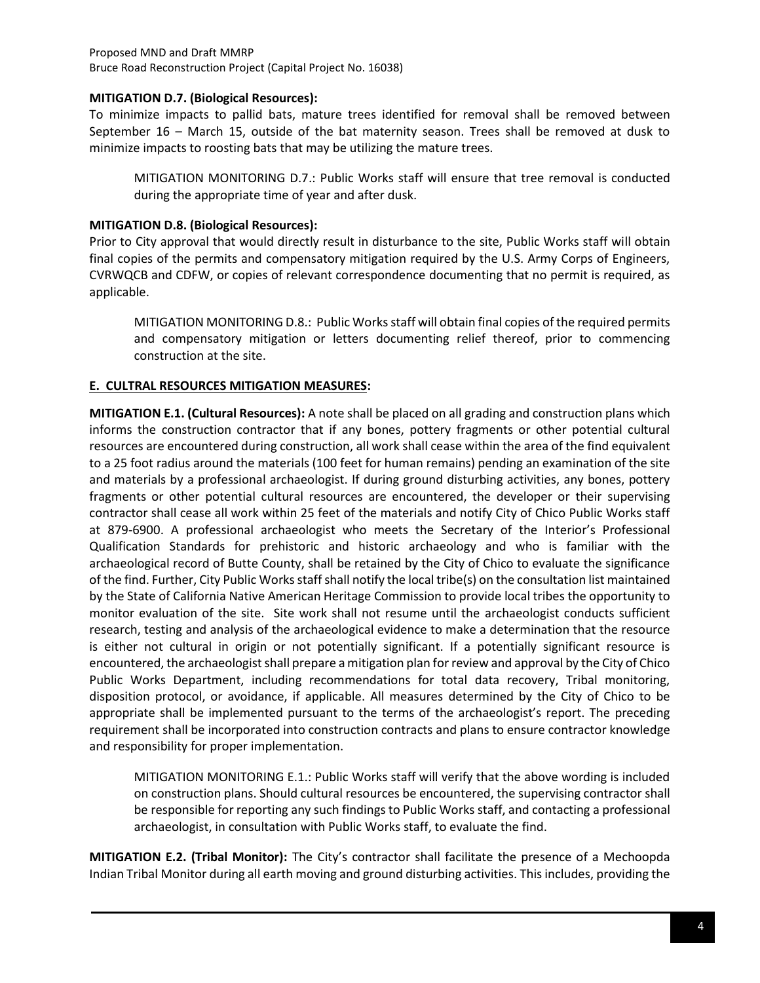#### Proposed MND and Draft MMRP Bruce Road Reconstruction Project (Capital Project No. 16038)

#### **MITIGATION D.7. (Biological Resources):**

To minimize impacts to pallid bats, mature trees identified for removal shall be removed between September 16 – March 15, outside of the bat maternity season. Trees shall be removed at dusk to minimize impacts to roosting bats that may be utilizing the mature trees.

MITIGATION MONITORING D.7.: Public Works staff will ensure that tree removal is conducted during the appropriate time of year and after dusk.

### **MITIGATION D.8. (Biological Resources):**

Prior to City approval that would directly result in disturbance to the site, Public Works staff will obtain final copies of the permits and compensatory mitigation required by the U.S. Army Corps of Engineers, CVRWQCB and CDFW, or copies of relevant correspondence documenting that no permit is required, as applicable.

MITIGATION MONITORING D.8.: Public Works staff will obtain final copies of the required permits and compensatory mitigation or letters documenting relief thereof, prior to commencing construction at the site.

## **E. CULTRAL RESOURCES MITIGATION MEASURES:**

**MITIGATION E.1. (Cultural Resources):** A note shall be placed on all grading and construction plans which informs the construction contractor that if any bones, pottery fragments or other potential cultural resources are encountered during construction, all work shall cease within the area of the find equivalent to a 25 foot radius around the materials (100 feet for human remains) pending an examination of the site and materials by a professional archaeologist. If during ground disturbing activities, any bones, pottery fragments or other potential cultural resources are encountered, the developer or their supervising contractor shall cease all work within 25 feet of the materials and notify City of Chico Public Works staff at 879-6900. A professional archaeologist who meets the Secretary of the Interior's Professional Qualification Standards for prehistoric and historic archaeology and who is familiar with the archaeological record of Butte County, shall be retained by the City of Chico to evaluate the significance of the find. Further, City Public Works staff shall notify the local tribe(s) on the consultation list maintained by the State of California Native American Heritage Commission to provide local tribes the opportunity to monitor evaluation of the site. Site work shall not resume until the archaeologist conducts sufficient research, testing and analysis of the archaeological evidence to make a determination that the resource is either not cultural in origin or not potentially significant. If a potentially significant resource is encountered, the archaeologist shall prepare a mitigation plan for review and approval by the City of Chico Public Works Department, including recommendations for total data recovery, Tribal monitoring, disposition protocol, or avoidance, if applicable. All measures determined by the City of Chico to be appropriate shall be implemented pursuant to the terms of the archaeologist's report. The preceding requirement shall be incorporated into construction contracts and plans to ensure contractor knowledge and responsibility for proper implementation.

MITIGATION MONITORING E.1.: Public Works staff will verify that the above wording is included on construction plans. Should cultural resources be encountered, the supervising contractor shall be responsible for reporting any such findings to Public Works staff, and contacting a professional archaeologist, in consultation with Public Works staff, to evaluate the find.

**MITIGATION E.2. (Tribal Monitor):** The City's contractor shall facilitate the presence of a Mechoopda Indian Tribal Monitor during all earth moving and ground disturbing activities. This includes, providing the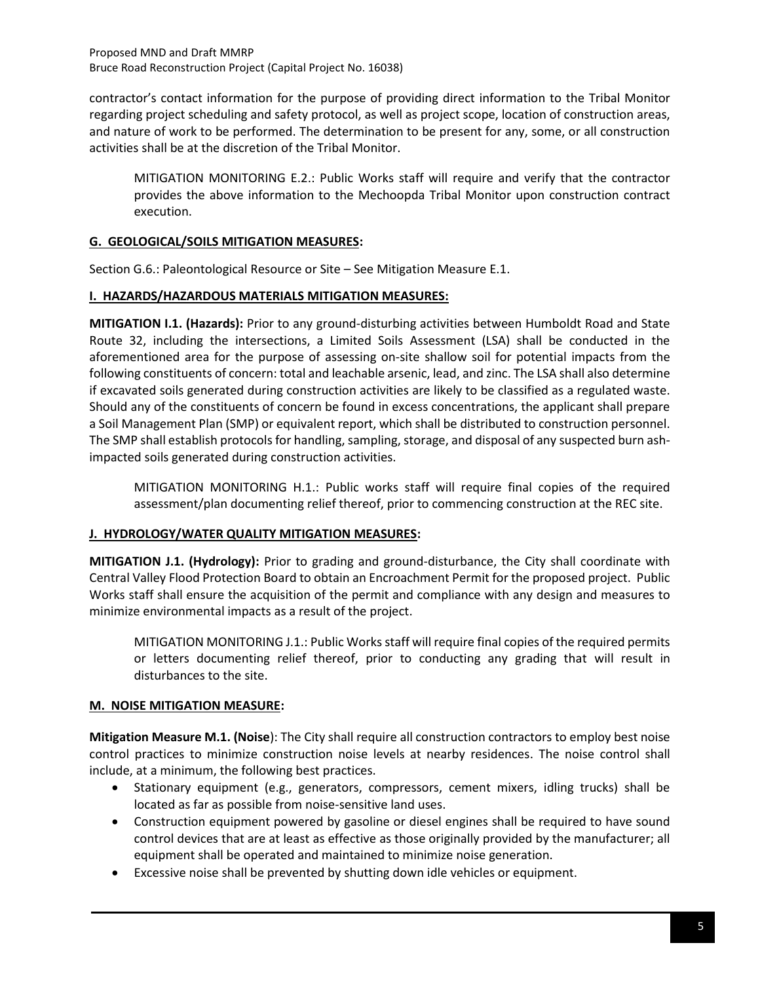Proposed MND and Draft MMRP Bruce Road Reconstruction Project (Capital Project No. 16038)

contractor's contact information for the purpose of providing direct information to the Tribal Monitor regarding project scheduling and safety protocol, as well as project scope, location of construction areas, and nature of work to be performed. The determination to be present for any, some, or all construction activities shall be at the discretion of the Tribal Monitor.

MITIGATION MONITORING E.2.: Public Works staff will require and verify that the contractor provides the above information to the Mechoopda Tribal Monitor upon construction contract execution.

## **G. GEOLOGICAL/SOILS MITIGATION MEASURES:**

Section G.6.: Paleontological Resource or Site – See Mitigation Measure E.1.

#### **I. HAZARDS/HAZARDOUS MATERIALS MITIGATION MEASURES:**

**MITIGATION I.1. (Hazards):** Prior to any ground-disturbing activities between Humboldt Road and State Route 32, including the intersections, a Limited Soils Assessment (LSA) shall be conducted in the aforementioned area for the purpose of assessing on-site shallow soil for potential impacts from the following constituents of concern: total and leachable arsenic, lead, and zinc. The LSA shall also determine if excavated soils generated during construction activities are likely to be classified as a regulated waste. Should any of the constituents of concern be found in excess concentrations, the applicant shall prepare a Soil Management Plan (SMP) or equivalent report, which shall be distributed to construction personnel. The SMP shall establish protocols for handling, sampling, storage, and disposal of any suspected burn ashimpacted soils generated during construction activities.

MITIGATION MONITORING H.1.: Public works staff will require final copies of the required assessment/plan documenting relief thereof, prior to commencing construction at the REC site.

#### **J. HYDROLOGY/WATER QUALITY MITIGATION MEASURES:**

**MITIGATION J.1. (Hydrology):** Prior to grading and ground-disturbance, the City shall coordinate with Central Valley Flood Protection Board to obtain an Encroachment Permit for the proposed project. Public Works staff shall ensure the acquisition of the permit and compliance with any design and measures to minimize environmental impacts as a result of the project.

MITIGATION MONITORING J.1.: Public Works staff will require final copies of the required permits or letters documenting relief thereof, prior to conducting any grading that will result in disturbances to the site.

## **M. NOISE MITIGATION MEASURE:**

**Mitigation Measure M.1. (Noise**): The City shall require all construction contractors to employ best noise control practices to minimize construction noise levels at nearby residences. The noise control shall include, at a minimum, the following best practices.

- Stationary equipment (e.g., generators, compressors, cement mixers, idling trucks) shall be located as far as possible from noise-sensitive land uses.
- Construction equipment powered by gasoline or diesel engines shall be required to have sound control devices that are at least as effective as those originally provided by the manufacturer; all equipment shall be operated and maintained to minimize noise generation.
- Excessive noise shall be prevented by shutting down idle vehicles or equipment.